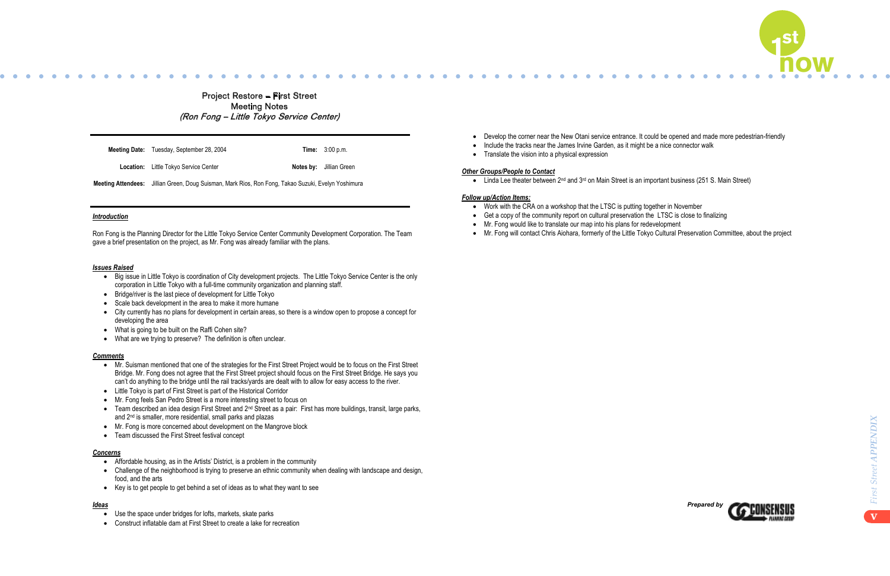



- � Mr. Suisman mentioned that one of the strategies for the First Street Project would be to focus on the First Street Bridge. Mr. Fong does not agree that the First Street project should focus on the First Street Bridge. He says you can't do anything to the bridge until the rail tracks/yards are dealt with to allow for easy access to the river.
- � Little Tokyo is part of First Street is part of the Historical Corridor
- � Mr. Fong feels San Pedro Street is a more interesting street to focus on
- � Team described an idea design First Street and 2nd Street as a pair: First has more buildings, transit, large parks, and 2nd is smaller, more residential, small parks and plazas
- Mr. Fong is more concerned about development on the Mangrove block
- Team discussed the First Street festival concept

- Affordable housing, as in the Artists' District, is a problem in the community
- � Challenge of the neighborhood is trying to preserve an ethnic community when dealing with landscape and design, food, and the arts
- � Key is to get people to get behind a set of ideas as to what they want to see

- Use the space under bridges for lofts, markets, skate parks
- � Construct inflatable dam at First Street to create a lake for recreation
- Develop the corner near the New Otani service entrance. It could be opened and made more pedestrian-friendly
- Include the tracks near the James Irvine Garden, as it might be a nice connector walk
- $\frac{1}{2}$  Motuvo the adollo hour the call note that  $\bullet$  Translate the vision into a physical expression

# **Other Groups/People to Contact metally bring the set of this project to fruition metallicity of the set of this project to fruition metallicity of the set of this project to fruition of the set of this project to fruition**

*Br* Croups/Feople to Contact<br>Angeles River development strategy River and Strategy River of the Strategy River of the Strategy River of the Strategy River of the Strategy River of the Strategy River of the Strategy River  $\bullet$  Linda Lee theater between 2<sup>nd</sup> and 3<sup>rd</sup> on Main Street is an important business (251 S. Main Street)

#### $\mathcal{M}(\mathcal{M})$  the flow water diversion and activate it, which will cause the water interesting to look at, which will cause the water interesting to look at , which at , which at , which at , which at , which at , which *<u>Follow up/Action Items:</u>*

- Work with the CRA on a workshop that the LTSC is putting together in November
- Get a copy of the community report on cultural preservation the LTSC is close to finalizing
- Mr. Fong would like to translate our map into his plans for redevelopment
- $\bullet$  Mr. Fong will contact Chris Aiohara, formerly of the Little Tokyo Cultural Preservation Committee, about the project

 $\mathcal{S}$  Some rail on both sides of the river will never be removed by removed by removed by removed by removed by

# Project Restore – First Street Meeting Notes (Ro<sup>n</sup> Fo<sup>n</sup>g – Littl<sup>e</sup> Toky<sup>o</sup> S<sup>e</sup>rvic<sup>e</sup> Center)

**Meeting Date:** Tuesday, September 28, 2004 **Time:** 3:00 p.m.

**Location:** Little Tokyo Service Center **Notes by:** Jillian Green

# *Introduction*

Ron Fong is the Planning Director for the Little Tokyo Service Center Community Development Corporation. The Team gave a brief presentation on the project, as Mr. Fong was already familiar with the plans.

# *Issues Raised*

- � Big issue in Little Tokyo is coordination of City development projects. The Little Tokyo Service Center is the only corporation in Little Tokyo with a full-time community organization and planning staff.
- � Bridge/river is the last piece of development for Little Tokyo
- Scale back development in the area to make it more humane
- � City currently has no plans for development in certain areas, so there is a window open to propose a concept for developing the area
- What is going to be built on the Raffi Cohen site?
- � What are we trying to preserve? The definition is often unclear.

# *Comments*

# *Concerns*

# *Ideas*

**Meeting Attendees:** Jillian Green, Doug Suisman, Mark Rios, Ron Fong, Takao Suzuki, Evelyn Yoshimura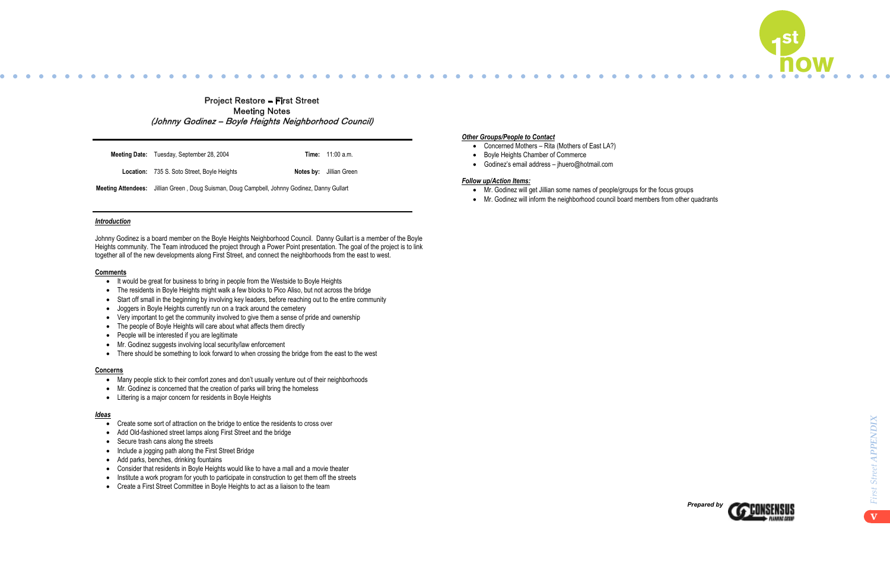



- � It would be great for business to bring in people from the Westside to Boyle Heights
- The residents in Boyle Heights might walk a few blocks to Pico Aliso, but not across the bridge
- � Start off small in the beginning by involving key leaders, before reaching out to the entire community
- Joggers in Boyle Heights currently run on a track around the cemetery
- � Very important to get the community involved to give them a sense of pride and ownership
- The people of Boyle Heights will care about what affects them directly
- People will be interested if you are legitimate
- � Mr. Godinez suggests involving local security/law enforcement
- There should be something to look forward to when crossing the bridge from the east to the west

- � Many people stick to their comfort zones and don't usually venture out of their neighborhoods
- Mr. Godinez is concerned that the creation of parks will bring the homeless
- Littering is a major concern for residents in Boyle Heights

| <b>Meeting Date:</b> Tuesday, September 28, 2004                                             |  | <b>Time:</b> $11:00$ a.m.      |
|----------------------------------------------------------------------------------------------|--|--------------------------------|
| <b>Location:</b> 735 S. Soto Street, Boyle Heights                                           |  | <b>Notes by:</b> Jillian Green |
| Meeting Attendees: Jillian Green, Doug Suisman, Doug Campbell, Johnny Godinez, Danny Gullart |  |                                |

#### $\mathcal{L}^{\text{max}}_{\text{max}}$  Coordinate with the Los Angeles River development strategy  $\mathcal{L}^{\text{max}}_{\text{max}}$  $\sigma$  The participants hope that this project will be like the Sears project will be like the bridge over the bridge over the bridge over the bridge over the bridge over the bridge over the bridge over the bridge over the *Follow up/Action Items:*

- Mr. Godinez will get Jillian some names of people/groups for the focus groups
- Mr. Godinez will inform the neighborhood council board members from other quadrants

# Project Restore – First Street Meeting Notes (John<sup>n</sup>y Godi<sup>n</sup>e<sup>z</sup> – Boyl<sup>e</sup> Height<sup>s</sup> Neighb<sup>o</sup>rho<sup>o</sup>d C<sup>o</sup>uncil)

### *Introduction*

Johnny Godinez is a board member on the Boyle Heights Neighborhood Council. Danny Gullart is a member of the Boyle Heights community. The Team introduced the project through a Power Point presentation. The goal of the project is to link together all of the new developments along First Street, and connect the neighborhoods from the east to west.

#### **Comments**

#### **Concerns**

#### *Ideas*

- � Create some sort of attraction on the bridge to entice the residents to cross over
- � Add Old-fashioned street lamps along First Street and the bridge
- Secure trash cans along the streets
- Include a jogging path along the First Street Bridge
- � Add parks, benches, drinking fountains
- Consider that residents in Boyle Heights would like to have a mall and a movie theater
- Institute a work program for youth to participate in construction to get them off the streets
- � Create a First Street Committee in Boyle Heights to act as a liaison to the team

# **Other Groups/People to Contact community each distinct community each distinct community examines**

- Concerned Mothers Rita (Mothers of East LA?)
- Boncemed Mothers Kita (Mothers of  $\bullet$  There needs to be something great on the other side of the bridge people to encourage people to encourage people to continue to continue to cross and people to continue to cross and people to cross and people to cont
- Godinez's email address jhuero@hotmail.com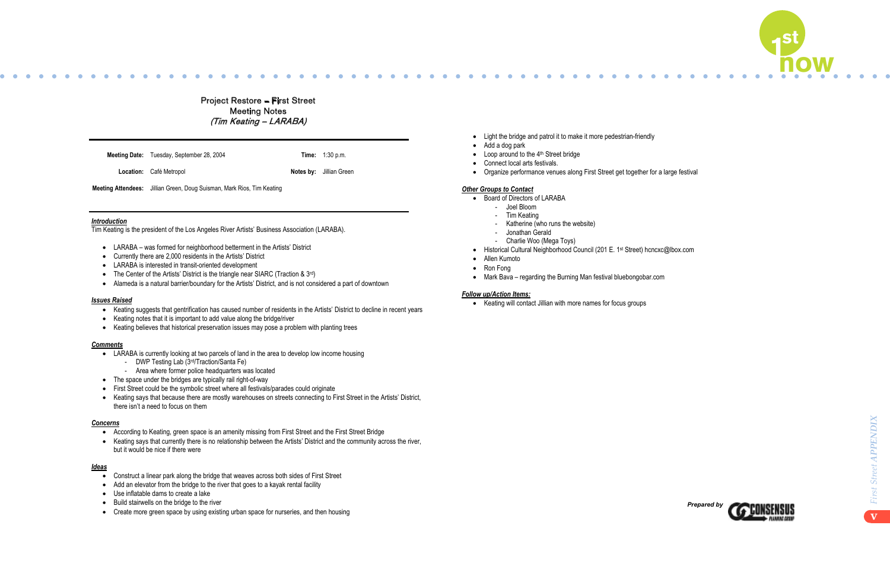



- � Keating suggests that gentrification has caused number of residents in the Artists' District to decline in recent years
- Keating notes that it is important to add value along the bridge/river
- Keating believes that historical preservation issues may pose a problem with planting trees

- LARABA is currently looking at two parcels of land in the area to develop low income housing
	- DWP Testing Lab (3rd/Traction/Santa Fe)
	- Area where former police headquarters was located
- The space under the bridges are typically rail right-of-way
- � First Street could be the symbolic street where all festivals/parades could originate
- � Keating says that because there are mostly warehouses on streets connecting to First Street in the Artists' District, there isn't a need to focus on them

- � Construct a linear park along the bridge that weaves across both sides of First Street
- Add an elevator from the bridge to the river that goes to a kayak rental facility
- � Use inflatable dams to create a lake
- � Build stairwells on the bridge to the river
- Create more green space by using existing urban space for nurseries, and then housing
- Light the bridge and patrol it to make it more pedestrian-friendly
- 
- $\bullet$  Loop around to the 4<sup>th</sup> Street bridge
- $\bullet$  Loop around to the  $\bullet$  other bridge to encourage people to encourage person to cross  $\bullet$  $\bullet$  Competition and resultation mechanism to help bring the spread to fruition mechanism to this project to fruition mechanism to the fruition of the fruition mechanism to fruition mechanism to fruition mechanism to frui
- Organize performance venues along First Street get together for a large festival

#### $\mathcal{F}_{\mathbf{a}}$  this participants hope that this project will be like the Sears project, bringing people over the bridge people over the bridge people over the bridge people over the bridge people over the bridge people ov  $\alpha$  Other Groups to Contactivate it, which will cause the water interesting to move so it is move so it is move so it is more interesting to look at, at,  $\alpha$

- Board of Directors of LARABA
- $\textcolor{red}{\bullet}$  Joel Bloom
- Tim Keating
- Katherine (who runs the website)
- Jonathan Gerald
- Charlie Woo (Mega Toys)
- Historical Cultural Neighborhood Council (201 E. 1st Street) hcncxc@lbox.com
- $\bullet$  Allen Kumoto is the "flats" is the "flats" is the "flats" is the "flats" is the "flats" is the "flats" is the "flats" is the "flats" is the "flats" is the "flats" is the "flats" is the "flats" is the "flats" is the "f
- income and included the projects known as Pico Gardens and Aliso Village. This area does not need a new name, and should • Ron Fong
- continuity<br>Medic Deue recenting the Duraing Men. ● Mark Bava – regarding the Burning Man festival bluebongobar.com

# $\emph{\textbf{Follow up/Action Items:}}$

**•** Keating will contact Jillian with more names for focus groups

# Project Restore – First Street Meeting Notes (Ti<sup>m</sup> Keating – LARABA)

|  | <b>Meeting Date:</b> Tuesday, September 28, 2004 |  | <b>Time:</b> 1:30 p.m. |
|--|--------------------------------------------------|--|------------------------|
|--|--------------------------------------------------|--|------------------------|

**Location:** Café Metropol **Notes by:** Jillian Green

# *Introduction*

� Connect the communities, while at the same time maintain and highlight their individuality � Add a dog park

Tim Keating is the president of the Los Angeles River Artists' Business Association (LARABA).

- � LARABA was formed for neighborhood betterment in the Artists' District
- � Currently there are 2,000 residents in the Artists' District
- � LARABA is interested in transit-oriented development
- The Center of the Artists' District is the triangle near SIARC (Traction & 3<sup>rd</sup>)
- � Alameda is a natural barrier/boundary for the Artists' District, and is not considered a part of downtown

## *Issues Raised*

#### *Comments*

#### *Concerns*

- � According to Keating, green space is an amenity missing from First Street and the First Street Bridge
- � Keating says that currently there is no relationship between the Artists' District and the community across the river, but it would be nice if there were

### *Ideas*

**Meeting Attendees:** Jillian Green, Doug Suisman, Mark Rios, Tim Keating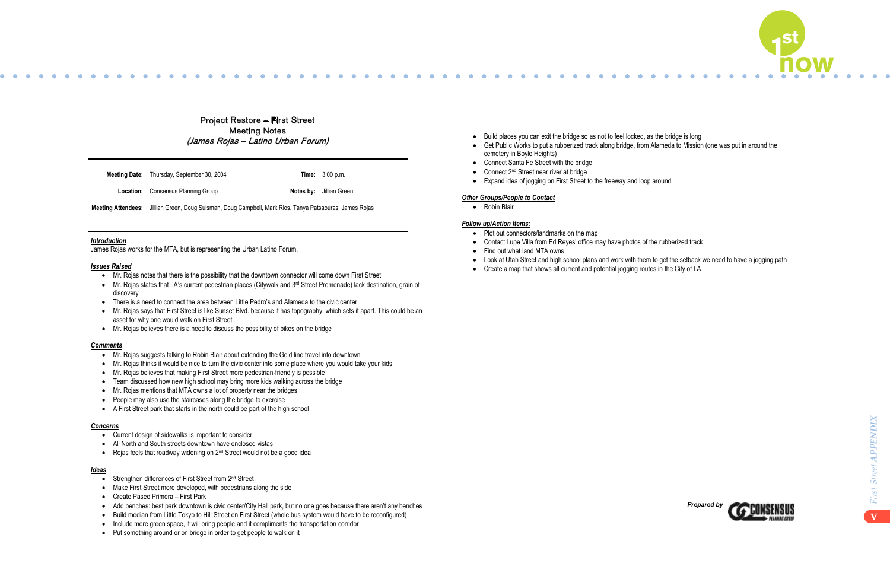

● Get Public Works to put a rubberized track along bridge, from Alameda to Mission (one was put in around the Get Public Works to put a rubberized track along bridge, from Alameda to Mission (one was put in around the

income and included the projects when the projects and and all the projects area does not need a new name, and  $\alpha$ 



Project Restore – First Street Meeting Notes (J<sup>a</sup>me<sup>s</sup> Roja<sup>s</sup> – Latin<sup>o</sup> Urba<sup>n</sup> Foru<sup>m</sup>)

**Meeting Date:** Thursday, September 30, 2004 **Time:** 3:00 p.m.

**Location:** Consensus Planning Group **Notes by:** Jillian Green

### *Introduction*

James Rojas works for the MTA, but is representing the Urban Latino Forum.

# *Issues Raised*

- � Mr. Rojas notes that there is the possibility that the downtown connector will come down First Street
- � Mr. Rojas states that LA's current pedestrian places (Citywalk and 3rd Street Promenade) lack destination, grain of discovery
- � There is a need to connect the area between Little Pedro's and Alameda to the civic center
- � Mr. Rojas says that First Street is like Sunset Blvd. because it has topography, which sets it apart. This could be an asset for why one would walk on First Street
- � Mr. Rojas believes there is a need to discuss the possibility of bikes on the bridge

### *Comments*

- � Mr. Rojas suggests talking to Robin Blair about extending the Gold line travel into downtown
- � Mr. Rojas thinks it would be nice to turn the civic center into some place where you would take your kids
- � Mr. Rojas believes that making First Street more pedestrian-friendly is possible
- Team discussed how new high school may bring more kids walking across the bridge
- � Mr. Rojas mentions that MTA owns a lot of property near the bridges
- � People may also use the staircases along the bridge to exercise
- � A First Street park that starts in the north could be part of the high school

#### *Concerns*

- Current design of sidewalks is important to consider
- � All North and South streets downtown have enclosed vistas
- $\bullet$  Rojas feels that roadway widening on  $2^{nd}$  Street would not be a good idea

### *Ideas*

- Strengthen differences of First Street from 2<sup>nd</sup> Street
- Make First Street more developed, with pedestrians along the side
- � Create Paseo Primera First Park
- � Add benches: best park downtown is civic center/City Hall park, but no one goes because there aren't any benches
- � Build median from Little Tokyo to Hill Street on First Street (whole bus system would have to be reconfigured)
- � Include more green space, it will bring people and it compliments the transportation corridor
- Put something around or on bridge in order to get people to walk on it
- Build places you can exit the bridge so as not to feel locked, as the bridge is long
- **Exercise Contract Control Contract Section**<br>
cemetery in Boyle Heights)
- $\bullet$  Connect Santa Fe Street with the bridge  $\bullet$  Competition as an implementation mechanism to help bring the bring the bring theorem in the bring the fruition  $\bullet$
- $\bullet$  Connect 2<sup>nd</sup> Street near river at bridge
- Expand idea of jogging on First Street to the freeway and loop around

# <u>Other Groups/People to Contact</u>

 $\bullet$  Robin Blair speed rail needs to be looked at before project speed rail needs to be looked at  $\bullet$ 

#### $\tt Follow up/Action \; \vcenter{ items:}$

- Plot out connectors/landmarks on the map
- Contact Lupe Villa from Ed Reyes' office may have photos of the rubberized track
- $\bullet$  Find out what land MTA owns.
- Look at Utah Street and high school plans and work with them to get the setback we need to have a jogging path
- Create a map that shows all current and potential jogging routes in the City of LA

**Meeting Attendees:** Jillian Green, Doug Suisman, Doug Campbell, Mark Rios, Tanya Patsaouras, James Rojas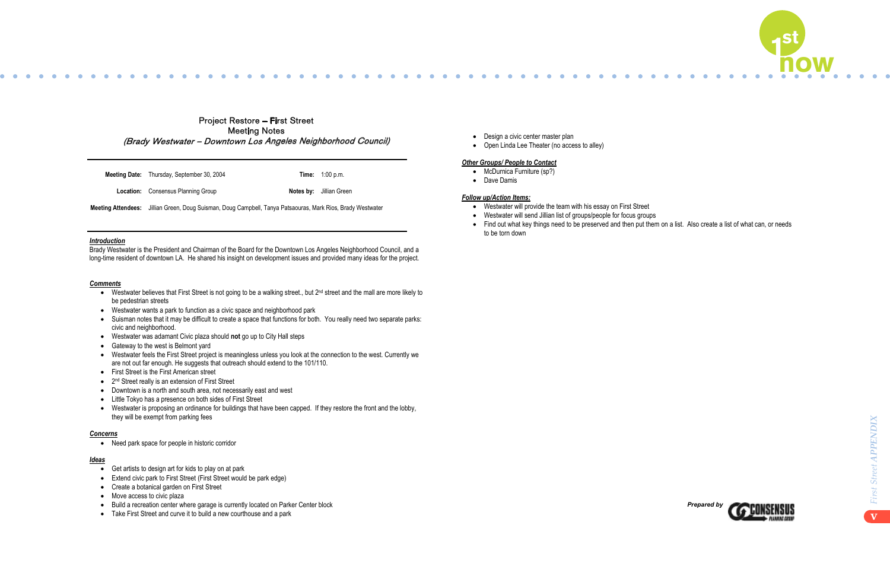



- � Get artists to design art for kids to play on at park
- Extend civic park to First Street (First Street would be park edge)
- Create a botanical garden on First Street
- Move access to civic plaza
- � Build a recreation center where garage is currently located on Parker Center block
- Take First Street and curve it to build a new courthouse and a park
- Design a civic center master plan
- $\sim$  Congrise the complement matter plan. • Open Linda Lee Theater (no access to alley)

# **Other Groups/ People to Contact** on the bridge to the bridge to encourage people to encourage people to cross  $\frac{1}{2}$

- $\mathbf{C}$  Created a developer competition as an implementation mechanism to help bring the fruiting to fruiting the fruiting the state of  $\mathbf{c}$  $\bullet$  McDurnica Furniture (sp?)
- $\bullet$  The participants hope that the Sears project will be like the Sears project will be like the bridge over the bridge people over the bridge people over the bridge people over the bridge people over the bridge people o • Dave Damis

#### $\mathcal{M}(\mathcal{M})$  the flow water diversion and activate it, which will cause the water interesting to look at, which will cause the water interesting to look at , which at , which at , which at , which at , which at , which *<u>Follow up/Action Items:</u>*

- Westwater will provide the team with his essay on First Street
- Westwater will send Jillian list of groups/people for focus groups
- Find out what key things need to be preserved and then put them on a list. Also create a list of what can, or needs to be torn down are unused as the study are unusually are unusually are unusually are unusually are unusually a

# Project Restore – First Street Meeting Notes (Br<sup>a</sup>dy Westwate<sup>r</sup> – Downtow<sup>n</sup> Lo<sup>s</sup> Angele<sup>s</sup> Neighb<sup>o</sup>rho<sup>o</sup>d C<sup>o</sup>uncil)

**Meeting Date:** Thursday, September 30, 2004 **Time:** 1:00 p.m.

**Location:** Consensus Planning Group **Notes by:** Jillian Green

### *Introduction*

Brady Westwater is the President and Chairman of the Board for the Downtown Los Angeles Neighborhood Council, and a long-time resident of downtown LA. He shared his insight on development issues and provided many ideas for the project.

## *Comments*

- � Westwater believes that First Street is not going to be a walking street., but 2nd street and the mall are more likely to be pedestrian streets
- � Westwater wants a park to function as a civic space and neighborhood park
- � Suisman notes that it may be difficult to create a space that functions for both. You really need two separate parks: civic and neighborhood.
- � Westwater was adamant Civic plaza should **not** go up to City Hall steps
- Gateway to the west is Belmont yard
- � Westwater feels the First Street project is meaningless unless you look at the connection to the west. Currently we are not out far enough. He suggests that outreach should extend to the 101/110.
- � First Street is the First American street
- 2<sup>nd</sup> Street really is an extension of First Street
- � Downtown is a north and south area, not necessarily east and west
- � Little Tokyo has a presence on both sides of First Street
- � Westwater is proposing an ordinance for buildings that have been capped. If they restore the front and the lobby, they will be exempt from parking fees

### *Concerns*

• Need park space for people in historic corridor

### *Ideas*

**Meeting Attendees:** Jillian Green, Doug Suisman, Doug Campbell, Tanya Patsaouras, Mark Rios, Brady Westwater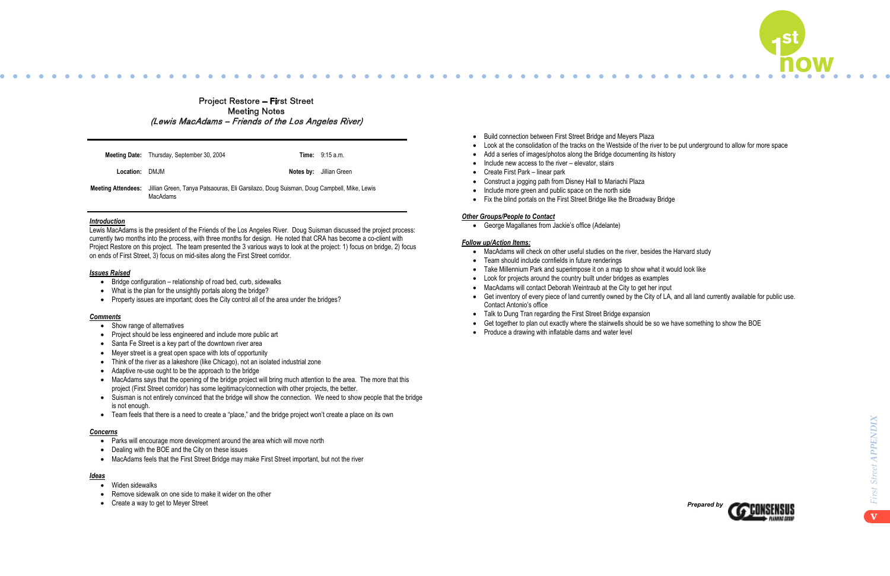

• Look for projects around the country built under bridges as examples



- Show range of alternatives
- � Project should be less engineered and include more public art
- Santa Fe Street is a key part of the downtown river area
- Meyer street is a great open space with lots of opportunity
- � Think of the river as a lakeshore (like Chicago), not an isolated industrial zone
- Adaptive re-use ought to be the approach to the bridge
- � MacAdams says that the opening of the bridge project will bring much attention to the area. The more that this project (First Street corridor) has some legitimacy/connection with other projects, the better.
- � Suisman is not entirely convinced that the bridge will show the connection. We need to show people that the bridge is not enough.
- � Team feels that there is a need to create a "place," and the bridge project won't create a place on its own

|                | <b>Meeting Date:</b> Thursday, September 30, 2004                                                                       | <b>Time:</b> 9:15 a.m.         |
|----------------|-------------------------------------------------------------------------------------------------------------------------|--------------------------------|
| Location: DMJM |                                                                                                                         | <b>Notes by:</b> Jillian Green |
|                | Meeting Attendees: Jillian Green, Tanya Patsaouras, Eli Garsilazo, Doug Suisman, Doug Campbell, Mike, Lewis<br>MacAdams |                                |

Project Restore – First Street Meeting Notes (Lewi<sup>s</sup> MacAd<sup>a</sup>m<sup>s</sup> – Frie<sup>n</sup>d<sup>s</sup> <sup>o</sup>f <sup>t</sup>h<sup>e</sup> Lo<sup>s</sup> Angele<sup>s</sup> River)

# *Introduction*

Lewis MacAdams is the president of the Friends of the Los Angeles River. Doug Suisman discussed the project process: currently two months into the process, with three months for design. He noted that CRA has become a co-client with Project Restore on this project. The team presented the 3 various ways to look at the project: 1) focus on bridge, 2) focus on ends of First Street, 3) focus on mid-sites along the First Street corridor.

#### *Issues Raised*

- � Bridge configuration relationship of road bed, curb, sidewalks
- What is the plan for the unsightly portals along the bridge?
- � Property issues are important; does the City control all of the area under the bridges?

### *Comments*

### *Concerns*

- � Parks will encourage more development around the area which will move north
- Dealing with the BOE and the City on these issues
- � MacAdams feels that the First Street Bridge may make First Street important, but not the river

#### *Ideas*

- Widen sidewalks
- � Remove sidewalk on one side to make it wider on the other
- Create a way to get to Meyer Street
- Build connection between First Street Bridge and Meyers Plaza
- Look at the consolidation of the tracks on the Westside of the river to be put underground to allow for more space
- $\sim$  Make a saise of incorpolation of the true. • Add a series of images/photos along the Bridge documenting its history
- $\bullet$  Include new access to the river elevator, stairs
- Create First Park linear park
- Construct a jogging path from Disney Hall to Mariachi Plaza
- Include more green and public space on the north side **interesting to move so it is move so it is move at**, and
- Fix the blind portals on the First Street Bridge like the Broadway Bridge

#### **Other Groups/People to Contact**

• George Magallanes from Jackie's office (Adelante)  $\mathcal{L}$  Not all of the study are unused are unused are unused are unused are unused are unused are unused are unused are unused as  $\mathcal{L}$ 

# $\tt Follow up/Action \; Items:$

- MacAdams will check on other useful studies on the river, besides the Harvard study
- Team should include cornfields in future renderings<br>● Team should include cornfields in future renderings
- income and included the projects known as Pico Gardens and Aliso Village. This area does not need a new name, a<br>This area does not need a new name, and shower need a new name, and should be about the should be about the sh • Take Millennium Park and superimpose it on a map to show what it would look like
- 
- MacAdams will contact Deborah Weintraub at the City to get her input
- **Contact Antonio's office** � Get inventory of every piece of land currently owned by the City of LA, and all land currently available for public use.
- Talk to Dung Tran regarding the First Street Bridge expansion
- Get together to plan out exactly where the stairwells should be so we have something to show the BOE
- Produce a drawing with inflatable dams and water level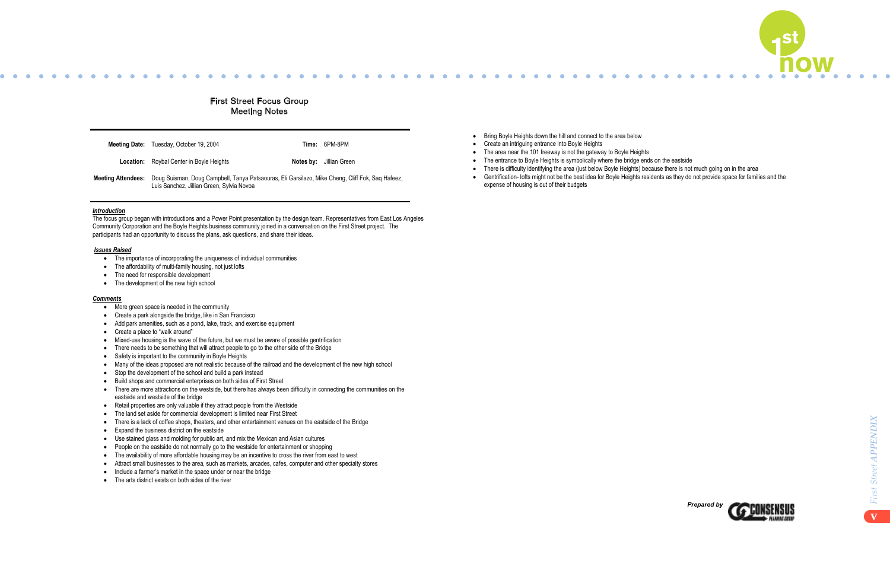

• Gentrification- lofts might not be the best idea for Boyle Heights residents as they do not provide space for families and the



|                    | <b>Meeting Date:</b> Tuesday, October 19, 2004                                                                                                | Time: 6PM-8PM                  |
|--------------------|-----------------------------------------------------------------------------------------------------------------------------------------------|--------------------------------|
|                    | <b>Location:</b> Roybal Center in Boyle Heights                                                                                               | <b>Notes by:</b> Jillian Green |
| Meeting Attendees: | Doug Suisman, Doug Campbell, Tanya Patsaouras, Eli Garsilazo, Mike Cheng, Cliff Fok, Saq Hafeez,<br>Luis Sanchez, Jillian Green, Sylvia Novoa |                                |

# First Street Focus Group Meeting Notes

#### *Introduction*

The focus group began with introductions and a Power Point presentation by the design team. Representatives from East Los Angeles Community Corporation and the Boyle Heights business community joined in a conversation on the First Street project. The participants had an opportunity to discuss the plans, ask questions, and share their ideas.

#### *Issues Raised*

- The importance of incorporating the uniqueness of individual communities
- The affordability of multi-family housing, not just lofts
- The need for responsible development
- The development of the new high school

#### *Comments*

- More green space is needed in the community
- Create a park alongside the bridge, like in San Francisco
- � Add park amenities, such as a pond, lake, track, and exercise equipment
- Create a place to "walk around"
- $\bullet$  Mixed-use housing is the wave of the future, but we must be aware of possible gentrification
- There needs to be something that will attract people to go to the other side of the Bridge
- Safety is important to the community in Boyle Heights
- � Many of the ideas proposed are not realistic because of the railroad and the development of the new high school
- Stop the development of the school and build a park instead
- � Build shops and commercial enterprises on both sides of First Street
- � There are more attractions on the westside, but there has always been difficulty in connecting the communities on the eastside and westside of the bridge
- � Retail properties are only valuable if they attract people from the Westside
- � The land set aside for commercial development is limited near First Street
- � There is a lack of coffee shops, theaters, and other entertainment venues on the eastside of the Bridge
- Expand the business district on the eastside
- � Use stained glass and molding for public art, and mix the Mexican and Asian cultures
- People on the eastside do not normally go to the westside for entertainment or shopping
- � The availability of more affordable housing may be an incentive to cross the river from east to west
- � Attract small businesses to the area, such as markets, arcades, cafes, computer and other specialty stores
- � Include a farmer's market in the space under or near the bridge
- The arts district exists on both sides of the river
- Bring Boyle Heights down the hill and connect to the area below
- Create an intriguing entrance into Boyle Heights
- The area near the 101 freeway is not the gateway to Boyle Heights
- The entrance to Boyle Heights is symbolically where the bridge ends on the eastside
- There is difficulty identifying the area (just below Boyle Heights) because there is not much going on in the area
- expense of housing is out of their budgets expense of housing people over the bridge over the bringing people of  $\mathcal{M}$  Take the flow water diversion and activate it, which will cause the water interesting the water interesting to look at, which will cause the water interesting to look at, which will consider the water interesting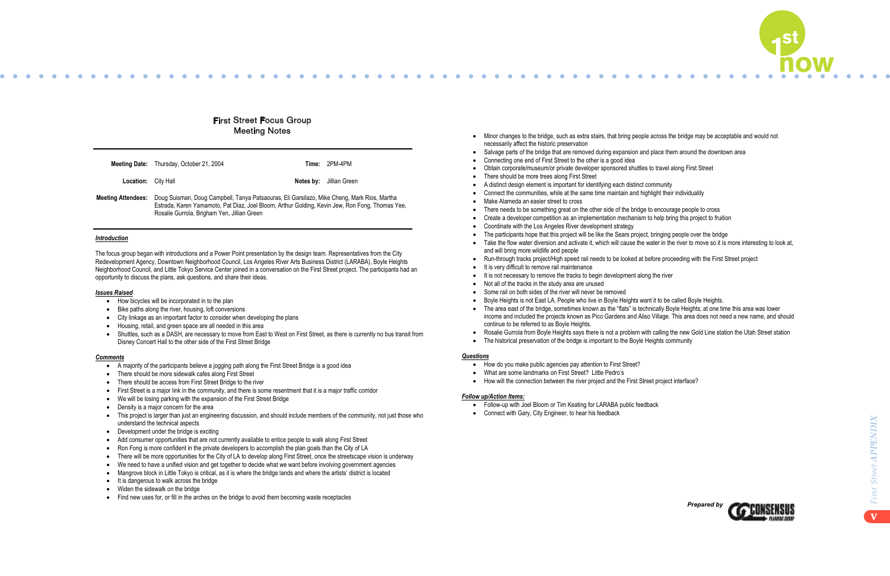

- 
- 
- 
- 



- How bicycles will be incorporated in to the plan
- Bike paths along the river, housing, loft conversions
- � City linkage as an important factor to consider when developing the plans
- � Housing, retail, and green space are all needed in this area
- � Shuttles, such as a DASH, are necessary to move from East to West on First Street, as there is currently no bus transit from Disney Concert Hall to the other side of the First Street Bridge

- � A majority of the participants believe a jogging path along the First Street Bridge is a good idea
- � There should be more sidewalk cafes along First Street
- There should be access from First Street Bridge to the river
- � First Street is a major link in the community, and there is some resentment that it is a major traffic corridor
- We will be losing parking with the expansion of the First Street Bridge
- Density is a major concern for the area
- � This project is larger than just an engineering discussion, and should include members of the community, not just those who understand the technical aspects
- Development under the bridge is exciting
- � Add consumer opportunities that are not currently available to entice people to walk along First Street
- � Ron Fong is more confident in the private developers to accomplish the plan goals than the City of LA
- � There will be more opportunities for the City of LA to develop along First Street, once the streetscape vision is underway
- � We need to have a unified vision and get together to decide what we want before involving government agencies
- � Mangrove block in Little Tokyo is critical, as it is where the bridge lands and where the artists' district is located
- $\bullet$  It is dangerous to walk across the bridge
- Widen the sidewalk on the bridge
- Find new uses for, or fill in the arches on the bridge to avoid them becoming waste receptacles
- Minor changes to the bridge, such as extra stairs, that bring people across the bridge may be acceptable and would not necessarily affect the historic preservation matches their individuality of the same time matches of the same t
- Salvage parts of the bridge that are removed during expansion and place them around the downtown area
- Connecting one end of First Street to the other is a good idea
- Obtain corporate/museum/or private developer sponsored shuttles to travel along First Street
- There should be more trees along First Street
- A distinct design element is important for identifying each distinct community
- Connect the communities, while at the same time maintain and highlight their individuality
- Make Alameda an easier street to cross
- There needs to be something great on the other side of the bridge to encourage people to cross
- Create a developer competition as an implementation mechanism to help bring this project to fruition
- Coordinate with the Los Angeles River development strategy
- The participants hope that this project will be like the Sears project, bringing people over the bridge . Take the flow water diversion and activate it, which will cause the water in the river to move so it is more interesting to look at,
- and will bring more wildlife and people **East LA. People** Boyle Heights want it to be called Boyle Heights. The called Boyle Heights. **A**
- Run-through tracks project/High speed rail needs to be looked at before proceeding with the First Street project
- It is very difficult to remove rail maintenance and a new name, and should be need a new new name, and should be need a new name, and should be new name, and should be new name, and should be new name, and should be new
- It is not necessary to remove the tracks to begin development along the river
- Not all of the tracks in the study area are unused<br>● Not all of the tracks in the study area are unused
- Some rail on both sides of the river will never be removed
- ◆ The area east of the bridge, sometimes known as the "flats" is technically Boyle Heights; at one time this area was lower � Boyle Heights is not East LA. People who live in Boyle Heights want it to be called Boyle Heights.
- income and included the projects known as Pico Gardens and Aliso Village. This area does not need a new name, and should income and included the projects known as Pico Gardens and Aliso Village. This area does not need a n medine the measure in projects informately to be directly continue to be referred to as Boyle Heights.
- Rosalie Gurrola from Boyle Heights says there is not a problem with calling the new Gold Line station the Utah Street station
- The historical preservation of the bridge is important to the Boyle Heights community

# First Street Focus Group Meeting Notes

| <b>Meeting Date:</b> | Thursday, October 21, 2004 |
|----------------------|----------------------------|
|----------------------|----------------------------|

### *Introduction*

The focus group began with introductions and a Power Point presentation by the design team. Representatives from the City Redevelopment Agency, Downtown Neighborhood Council, Los Angeles River Arts Business District (LARABA), Boyle Heights Neighborhood Council, and Little Tokyo Service Center joined in a conversation on the First Street project. The participants had an opportunity to discuss the plans, ask questions, and share their ideas.

### *Issues Raised*

#### *Comments*

#### $\mathcal{L}$  Follow-up with Joel Bloom or  $\mathcal{L}$ *Questions*

- <u>■ How do you make public agencies</u> pay attention to First Street?
- � What are some landmarks on First Street? Little Pedro's
- � How will the connection between the river project and the First Street project interface?

- � Follow-up with Joel Bloom or Tim Keating for LARABA public feedback
- Connect with Gary, City Engineer, to hear his feedback

**Meeting Date:** Thursday, October 21, 2004 **Time:** 2PM-4PM

**Location:** City Hall **Notes by:** Jillian Green

**Meeting Attendees:** Doug Suisman, Doug Campbell, Tanya Patsaouras, Eli Garsilazo, Mike Cheng, Mark Rios, Martha Estrada, Karen Yamamoto, Pat Diaz, Joel Bloom, Arthur Golding, Kevin Jew, Ron Fong, Thomas Yee, Rosalie Gurrola, Brigham Yen, Jillian Green

#### *Follow up/Action Items:*